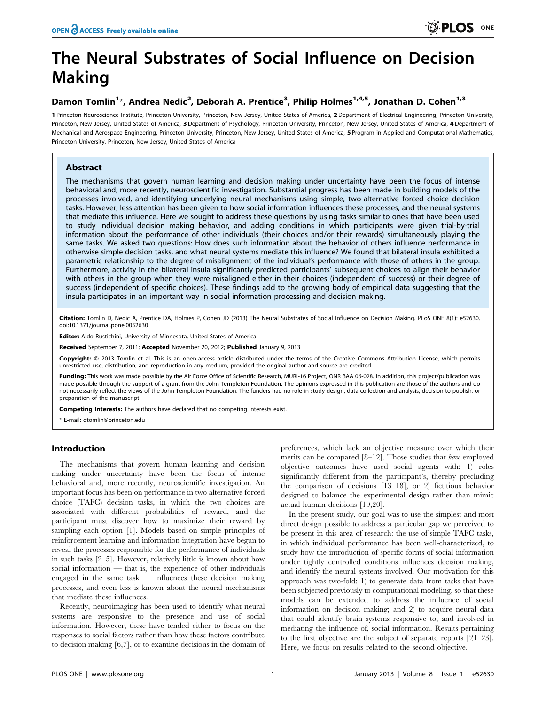# The Neural Substrates of Social Influence on Decision Making

## Damon Tomlin<sup>1</sup>\*, Andrea Nedic<sup>2</sup>, Deborah A. Prentice<sup>3</sup>, Philip Holmes<sup>1,4,5</sup>, Jonathan D. Cohen<sup>1,3</sup>

1 Princeton Neuroscience Institute, Princeton University, Princeton, New Jersey, United States of America, 2 Department of Electrical Engineering, Princeton University, Princeton, New Jersey, United States of America, 3 Department of Psychology, Princeton University, Princeton, New Jersey, United States of America, 4 Department of Mechanical and Aerospace Engineering, Princeton University, Princeton, New Jersey, United States of America, 5 Program in Applied and Computational Mathematics, Princeton University, Princeton, New Jersey, United States of America

## Abstract

The mechanisms that govern human learning and decision making under uncertainty have been the focus of intense behavioral and, more recently, neuroscientific investigation. Substantial progress has been made in building models of the processes involved, and identifying underlying neural mechanisms using simple, two-alternative forced choice decision tasks. However, less attention has been given to how social information influences these processes, and the neural systems that mediate this influence. Here we sought to address these questions by using tasks similar to ones that have been used to study individual decision making behavior, and adding conditions in which participants were given trial-by-trial information about the performance of other individuals (their choices and/or their rewards) simultaneously playing the same tasks. We asked two questions: How does such information about the behavior of others influence performance in otherwise simple decision tasks, and what neural systems mediate this influence? We found that bilateral insula exhibited a parametric relationship to the degree of misalignment of the individual's performance with those of others in the group. Furthermore, activity in the bilateral insula significantly predicted participants' subsequent choices to align their behavior with others in the group when they were misaligned either in their choices (independent of success) or their degree of success (independent of specific choices). These findings add to the growing body of empirical data suggesting that the insula participates in an important way in social information processing and decision making.

Citation: Tomlin D, Nedic A, Prentice DA, Holmes P, Cohen JD (2013) The Neural Substrates of Social Influence on Decision Making. PLoS ONE 8(1): e52630. doi:10.1371/journal.pone.0052630

Editor: Aldo Rustichini, University of Minnesota, United States of America

Received September 7, 2011; Accepted November 20, 2012; Published January 9, 2013

Copyright: © 2013 Tomlin et al. This is an open-access article distributed under the terms of the Creative Commons Attribution License, which permits unrestricted use, distribution, and reproduction in any medium, provided the original author and source are credited.

Funding: This work was made possible by the Air Force Office of Scientific Research, MURI-16 Project, ONR BAA 06-028. In addition, this project/publication was made possible through the support of a grant from the John Templeton Foundation. The opinions expressed in this publication are those of the authors and do not necessarily reflect the views of the John Templeton Foundation. The funders had no role in study design, data collection and analysis, decision to publish, or preparation of the manuscript.

Competing Interests: The authors have declared that no competing interests exist.

\* E-mail: dtomlin@princeton.edu

## Introduction

The mechanisms that govern human learning and decision making under uncertainty have been the focus of intense behavioral and, more recently, neuroscientific investigation. An important focus has been on performance in two alternative forced choice (TAFC) decision tasks, in which the two choices are associated with different probabilities of reward, and the participant must discover how to maximize their reward by sampling each option [1]. Models based on simple principles of reinforcement learning and information integration have begun to reveal the processes responsible for the performance of individuals in such tasks [2–5]. However, relatively little is known about how social information — that is, the experience of other individuals engaged in the same task — influences these decision making processes, and even less is known about the neural mechanisms that mediate these influences.

Recently, neuroimaging has been used to identify what neural systems are responsive to the presence and use of social information. However, these have tended either to focus on the responses to social factors rather than how these factors contribute to decision making [6,7], or to examine decisions in the domain of preferences, which lack an objective measure over which their merits can be compared [8–12]. Those studies that have employed objective outcomes have used social agents with: 1) roles significantly different from the participant's, thereby precluding the comparison of decisions [13–18], or 2) fictitious behavior designed to balance the experimental design rather than mimic actual human decisions [19,20].

In the present study, our goal was to use the simplest and most direct design possible to address a particular gap we perceived to be present in this area of research: the use of simple TAFC tasks, in which individual performance has been well-characterized, to study how the introduction of specific forms of social information under tightly controlled conditions influences decision making, and identify the neural systems involved. Our motivation for this approach was two-fold: 1) to generate data from tasks that have been subjected previously to computational modeling, so that these models can be extended to address the influence of social information on decision making; and 2) to acquire neural data that could identify brain systems responsive to, and involved in mediating the influence of, social information. Results pertaining to the first objective are the subject of separate reports [21–23]. Here, we focus on results related to the second objective.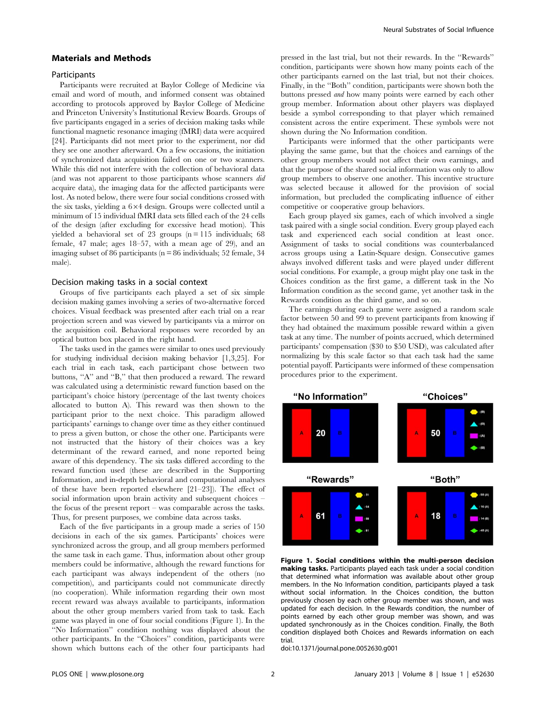#### Materials and Methods

#### **Participants**

Participants were recruited at Baylor College of Medicine via email and word of mouth, and informed consent was obtained according to protocols approved by Baylor College of Medicine and Princeton University's Institutional Review Boards. Groups of five participants engaged in a series of decision making tasks while functional magnetic resonance imaging (fMRI) data were acquired [24]. Participants did not meet prior to the experiment, nor did they see one another afterward. On a few occasions, the initiation of synchronized data acquisition failed on one or two scanners. While this did not interfere with the collection of behavioral data (and was not apparent to those participants whose scanners did acquire data), the imaging data for the affected participants were lost. As noted below, there were four social conditions crossed with the six tasks, yielding a  $6\times4$  design. Groups were collected until a minimum of 15 individual fMRI data sets filled each of the 24 cells of the design (after excluding for excessive head motion). This yielded a behavioral set of 23 groups  $(n = 115 \text{ individuals}; 68$ female, 47 male; ages 18–57, with a mean age of 29), and an imaging subset of 86 participants ( $n = 86$  individuals; 52 female, 34 male).

#### Decision making tasks in a social context

Groups of five participants each played a set of six simple decision making games involving a series of two-alternative forced choices. Visual feedback was presented after each trial on a rear projection screen and was viewed by participants via a mirror on the acquisition coil. Behavioral responses were recorded by an optical button box placed in the right hand.

The tasks used in the games were similar to ones used previously for studying individual decision making behavior [1,3,25]. For each trial in each task, each participant chose between two buttons, "A" and "B," that then produced a reward. The reward was calculated using a deterministic reward function based on the participant's choice history (percentage of the last twenty choices allocated to button A). This reward was then shown to the participant prior to the next choice. This paradigm allowed participants' earnings to change over time as they either continued to press a given button, or chose the other one. Participants were not instructed that the history of their choices was a key determinant of the reward earned, and none reported being aware of this dependency. The six tasks differed according to the reward function used (these are described in the Supporting Information, and in-depth behavioral and computational analyses of these have been reported elsewhere [21–23]). The effect of social information upon brain activity and subsequent choices – the focus of the present report – was comparable across the tasks. Thus, for present purposes, we combine data across tasks.

Each of the five participants in a group made a series of 150 decisions in each of the six games. Participants' choices were synchronized across the group, and all group members performed the same task in each game. Thus, information about other group members could be informative, although the reward functions for each participant was always independent of the others (no competition), and participants could not communicate directly (no cooperation). While information regarding their own most recent reward was always available to participants, information about the other group members varied from task to task. Each game was played in one of four social conditions (Figure 1). In the ''No Information'' condition nothing was displayed about the other participants. In the ''Choices'' condition, participants were shown which buttons each of the other four participants had pressed in the last trial, but not their rewards. In the ''Rewards'' condition, participants were shown how many points each of the other participants earned on the last trial, but not their choices. Finally, in the ''Both'' condition, participants were shown both the buttons pressed and how many points were earned by each other group member. Information about other players was displayed beside a symbol corresponding to that player which remained consistent across the entire experiment. These symbols were not shown during the No Information condition.

Participants were informed that the other participants were playing the same game, but that the choices and earnings of the other group members would not affect their own earnings, and that the purpose of the shared social information was only to allow group members to observe one another. This incentive structure was selected because it allowed for the provision of social information, but precluded the complicating influence of either competitive or cooperative group behaviors.

Each group played six games, each of which involved a single task paired with a single social condition. Every group played each task and experienced each social condition at least once. Assignment of tasks to social conditions was counterbalanced across groups using a Latin-Square design. Consecutive games always involved different tasks and were played under different social conditions. For example, a group might play one task in the Choices condition as the first game, a different task in the No Information condition as the second game, yet another task in the Rewards condition as the third game, and so on.

The earnings during each game were assigned a random scale factor between 50 and 99 to prevent participants from knowing if they had obtained the maximum possible reward within a given task at any time. The number of points accrued, which determined participants' compensation (\$30 to \$50 USD), was calculated after normalizing by this scale factor so that each task had the same potential payoff. Participants were informed of these compensation procedures prior to the experiment.



Figure 1. Social conditions within the multi-person decision making tasks. Participants played each task under a social condition that determined what information was available about other group members. In the No Information condition, participants played a task without social information. In the Choices condition, the button previously chosen by each other group member was shown, and was updated for each decision. In the Rewards condition, the number of points earned by each other group member was shown, and was updated synchronously as in the Choices condition. Finally, the Both condition displayed both Choices and Rewards information on each trial.

doi:10.1371/journal.pone.0052630.g001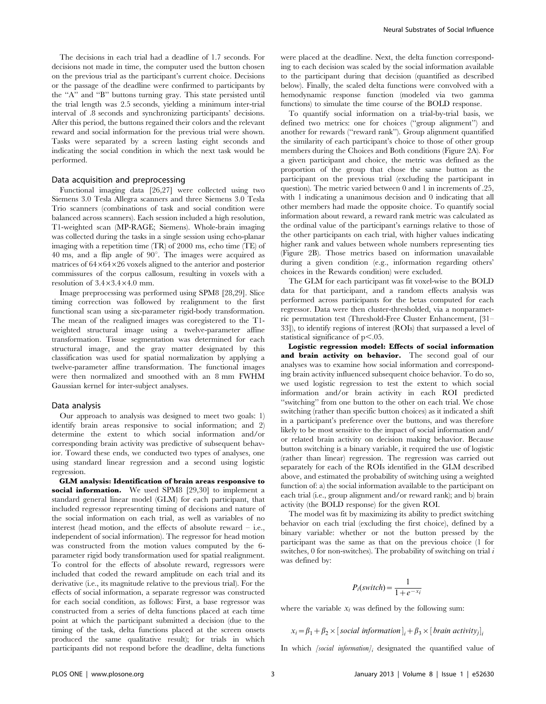The decisions in each trial had a deadline of 1.7 seconds. For decisions not made in time, the computer used the button chosen on the previous trial as the participant's current choice. Decisions or the passage of the deadline were confirmed to participants by the ''A'' and ''B'' buttons turning gray. This state persisted until the trial length was 2.5 seconds, yielding a minimum inter-trial interval of .8 seconds and synchronizing participants' decisions. After this period, the buttons regained their colors and the relevant reward and social information for the previous trial were shown. Tasks were separated by a screen lasting eight seconds and indicating the social condition in which the next task would be performed.

#### Data acquisition and preprocessing

Functional imaging data [26,27] were collected using two Siemens 3.0 Tesla Allegra scanners and three Siemens 3.0 Tesla Trio scanners (combinations of task and social condition were balanced across scanners). Each session included a high resolution, T1-weighted scan (MP-RAGE; Siemens). Whole-brain imaging was collected during the tasks in a single session using echo-planar imaging with a repetition time (TR) of 2000 ms, echo time (TE) of 40 ms, and a flip angle of  $90^{\circ}$ . The images were acquired as matrices of  $64\times64\times26$  voxels aligned to the anterior and posterior commissures of the corpus callosum, resulting in voxels with a resolution of  $3.4\times3.4\times4.0$  mm.

Image preprocessing was performed using SPM8 [28,29]. Slice timing correction was followed by realignment to the first functional scan using a six-parameter rigid-body transformation. The mean of the realigned images was coregistered to the T1 weighted structural image using a twelve-parameter affine transformation. Tissue segmentation was determined for each structural image, and the gray matter designated by this classification was used for spatial normalization by applying a twelve-parameter affine transformation. The functional images were then normalized and smoothed with an 8 mm FWHM Gaussian kernel for inter-subject analyses.

#### Data analysis

Our approach to analysis was designed to meet two goals: 1) identify brain areas responsive to social information; and 2) determine the extent to which social information and/or corresponding brain activity was predictive of subsequent behavior. Toward these ends, we conducted two types of analyses, one using standard linear regression and a second using logistic regression.

GLM analysis: Identification of brain areas responsive to social information. We used SPM8 [29,30] to implement a standard general linear model (GLM) for each participant, that included regressor representing timing of decisions and nature of the social information on each trial, as well as variables of no interest (head motion, and the effects of absolute reward – i.e., independent of social information). The regressor for head motion was constructed from the motion values computed by the 6 parameter rigid body transformation used for spatial realignment. To control for the effects of absolute reward, regressors were included that coded the reward amplitude on each trial and its derivative (i.e., its magnitude relative to the previous trial). For the effects of social information, a separate regressor was constructed for each social condition, as follows: First, a base regressor was constructed from a series of delta functions placed at each time point at which the participant submitted a decision (due to the timing of the task, delta functions placed at the screen onsets produced the same qualitative result); for trials in which participants did not respond before the deadline, delta functions were placed at the deadline. Next, the delta function corresponding to each decision was scaled by the social information available to the participant during that decision (quantified as described below). Finally, the scaled delta functions were convolved with a hemodynamic response function (modeled via two gamma functions) to simulate the time course of the BOLD response.

To quantify social information on a trial-by-trial basis, we defined two metrics: one for choices (''group alignment'') and another for rewards (''reward rank''). Group alignment quantified the similarity of each participant's choice to those of other group members during the Choices and Both conditions (Figure 2A). For a given participant and choice, the metric was defined as the proportion of the group that chose the same button as the participant on the previous trial (excluding the participant in question). The metric varied between 0 and 1 in increments of .25, with 1 indicating a unanimous decision and 0 indicating that all other members had made the opposite choice. To quantify social information about reward, a reward rank metric was calculated as the ordinal value of the participant's earnings relative to those of the other participants on each trial, with higher values indicating higher rank and values between whole numbers representing ties (Figure 2B). Those metrics based on information unavailable during a given condition (e.g., information regarding others' choices in the Rewards condition) were excluded.

The GLM for each participant was fit voxel-wise to the BOLD data for that participant, and a random effects analysis was performed across participants for the betas computed for each regressor. Data were then cluster-thresholded, via a nonparametric permutation test (Threshold-Free Cluster Enhancement, [31– 33]), to identify regions of interest (ROIs) that surpassed a level of statistical significance of  $p<.05$ .

Logistic regression model: Effects of social information and brain activity on behavior. The second goal of our analyses was to examine how social information and corresponding brain activity influenced subsequent choice behavior. To do so, we used logistic regression to test the extent to which social information and/or brain activity in each ROI predicted ''switching'' from one button to the other on each trial. We chose switching (rather than specific button choices) as it indicated a shift in a participant's preference over the buttons, and was therefore likely to be most sensitive to the impact of social information and/ or related brain activity on decision making behavior. Because button switching is a binary variable, it required the use of logistic (rather than linear) regression. The regression was carried out separately for each of the ROIs identified in the GLM described above, and estimated the probability of switching using a weighted function of: a) the social information available to the participant on each trial (i.e., group alignment and/or reward rank); and b) brain activity (the BOLD response) for the given ROI.

The model was fit by maximizing its ability to predict switching behavior on each trial (excluding the first choice), defined by a binary variable: whether or not the button pressed by the participant was the same as that on the previous choice (1 for switches,  $0$  for non-switches). The probability of switching on trial  $i$ was defined by:

$$
P_i(switch) = \frac{1}{1 + e^{-x_i}}
$$

where the variable  $x_i$  was defined by the following sum:

 $x_i = \beta_1 + \beta_2 \times [\text{social information}]_i + \beta_3 \times [\text{brain activity}]_i$ 

In which [social information]<sub>i</sub> designated the quantified value of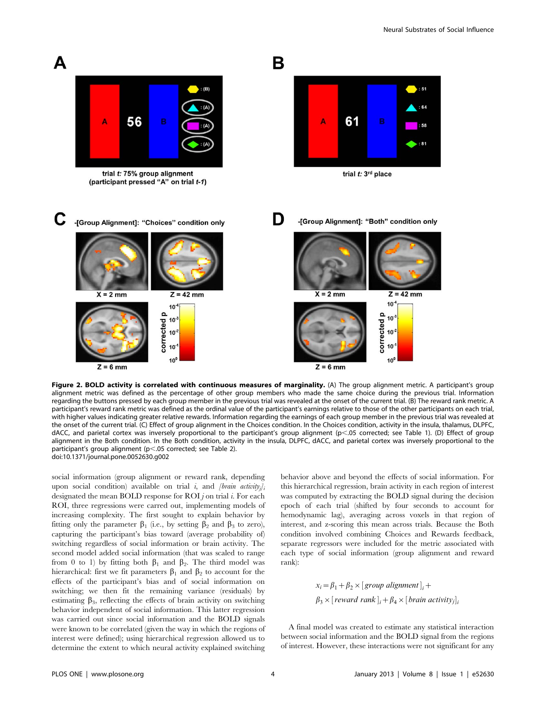

Figure 2. BOLD activity is correlated with continuous measures of marginality. (A) The group alignment metric. A participant's group alignment metric was defined as the percentage of other group members who made the same choice during the previous trial. Information regarding the buttons pressed by each group member in the previous trial was revealed at the onset of the current trial. (B) The reward rank metric. A participant's reward rank metric was defined as the ordinal value of the participant's earnings relative to those of the other participants on each trial, with higher values indicating greater relative rewards. Information regarding the earnings of each group member in the previous trial was revealed at the onset of the current trial. (C) Effect of group alignment in the Choices condition. In the Choices condition, activity in the insula, thalamus, DLPFC, dACC, and parietal cortex was inversely proportional to the participant's group alignment (p<.05 corrected; see Table 1). (D) Effect of group alignment in the Both condition. In the Both condition, activity in the insula, DLPFC, dACC, and parietal cortex was inversely proportional to the participant's group alignment ( $p$ <.05 corrected; see Table 2). doi:10.1371/journal.pone.0052630.g002

social information (group alignment or reward rank, depending upon social condition) available on trial *i*, and [brain activity], designated the mean BOLD response for  $ROI_j$  on trial i. For each ROI, three regressions were carred out, implementing models of increasing complexity. The first sought to explain behavior by fitting only the parameter  $\beta_1$  (i.e., by setting  $\beta_2$  and  $\beta_3$  to zero), capturing the participant's bias toward (average probability of) switching regardless of social information or brain activity. The second model added social information (that was scaled to range from 0 to 1) by fitting both  $\beta_1$  and  $\beta_2$ . The third model was hierarchical: first we fit parameters  $\beta_1$  and  $\beta_2$  to account for the effects of the participant's bias and of social information on switching; we then fit the remaining variance (residuals) by estimating  $\beta_3$ , reflecting the effects of brain activity on switching behavior independent of social information. This latter regression was carried out since social information and the BOLD signals were known to be correlated (given the way in which the regions of interest were defined); using hierarchical regression allowed us to determine the extent to which neural activity explained switching behavior above and beyond the effects of social information. For this hierarchical regression, brain activity in each region of interest was computed by extracting the BOLD signal during the decision epoch of each trial (shifted by four seconds to account for hemodynamic lag), averaging across voxels in that region of interest, and z-scoring this mean across trials. Because the Both condition involved combining Choices and Rewards feedback, separate regressors were included for the metric associated with each type of social information (group alignment and reward rank):

$$
x_i = \beta_1 + \beta_2 \times [group alignment]_i +
$$
  

$$
\beta_3 \times [reward rank]_i + \beta_4 \times [brain activity_j]
$$

A final model was created to estimate any statistical interaction between social information and the BOLD signal from the regions of interest. However, these interactions were not significant for any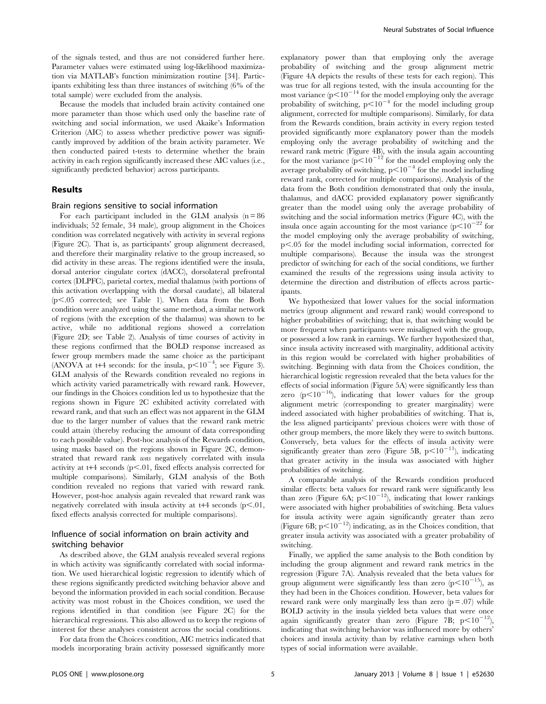of the signals tested, and thus are not considered further here. Parameter values were estimated using log-likelihood maximization via MATLAB's function minimization routine [34]. Participants exhibiting less than three instances of switching (6% of the total sample) were excluded from the analysis.

Because the models that included brain activity contained one more parameter than those which used only the baseline rate of switching and social information, we used Akaike's Information Criterion (AIC) to assess whether predictive power was significantly improved by addition of the brain activity parameter. We then conducted paired t-tests to determine whether the brain activity in each region significantly increased these AIC values (i.e., significantly predicted behavior) across participants.

## Results

#### Brain regions sensitive to social information

For each participant included in the GLM analysis  $(n = 86$ individuals; 52 female, 34 male), group alignment in the Choices condition was correlated negatively with activity in several regions (Figure 2C). That is, as participants' group alignment decreased, and therefore their marginality relative to the group increased, so did activity in these areas. The regions identified were the insula, dorsal anterior cingulate cortex (dACC), dorsolateral prefrontal cortex (DLPFC), parietal cortex, medial thalamus (with portions of this activation overlapping with the dorsal caudate), all bilateral  $(p<.05$  corrected; see Table 1). When data from the Both condition were analyzed using the same method, a similar network of regions (with the exception of the thalamus) was shown to be active, while no additional regions showed a correlation (Figure 2D; see Table 2). Analysis of time courses of activity in these regions confirmed that the BOLD response increased as fewer group members made the same choice as the participant (ANOVA at t+4 seconds: for the insula,  $p<10^{-4}$ ; see Figure 3). GLM analysis of the Rewards condition revealed no regions in which activity varied parametrically with reward rank. However, our findings in the Choices condition led us to hypothesize that the regions shown in Figure 2C exhibited activity correlated with reward rank, and that such an effect was not apparent in the GLM due to the larger number of values that the reward rank metric could attain (thereby reducing the amount of data corresponding to each possible value). Post-hoc analysis of the Rewards condition, using masks based on the regions shown in Figure 2C, demonstrated that reward rank was negatively correlated with insula activity at t+4 seconds ( $p<.01$ , fixed effects analysis corrected for multiple comparisons). Similarly, GLM analysis of the Both condition revealed no regions that varied with reward rank. However, post-hoc analysis again revealed that reward rank was negatively correlated with insula activity at  $t+4$  seconds ( $p<01$ , fixed effects analysis corrected for multiple comparisons).

## Influence of social information on brain activity and switching behavior

As described above, the GLM analysis revealed several regions in which activity was significantly correlated with social information. We used hierarchical logistic regression to identify which of these regions significantly predicted switching behavior above and beyond the information provided in each social condition. Because activity was most robust in the Choices condition, we used the regions identified in that condition (see Figure 2C) for the hierarchical regressions. This also allowed us to keep the regions of interest for these analyses consistent across the social conditions.

For data from the Choices condition, AIC metrics indicated that models incorporating brain activity possessed significantly more explanatory power than that employing only the average probability of switching and the group alignment metric (Figure 4A depicts the results of these tests for each region). This was true for all regions tested, with the insula accounting for the most variance  $(p<10^{-14}$  for the model employing only the average probability of switching,  $p<10^{-4}$  for the model including group alignment, corrected for multiple comparisons). Similarly, for data from the Rewards condition, brain activity in every region tested provided significantly more explanatory power than the models employing only the average probability of switching and the reward rank metric (Figure 4B), with the insula again accounting for the most variance  $(p<10^{-12}$  for the model employing only the average probability of switching,  $p<10^{-4}$  for the model including reward rank, corrected for multiple comparisons). Analysis of the data from the Both condition demonstrated that only the insula, thalamus, and dACC provided explanatory power significantly greater than the model using only the average probability of switching and the social information metrics (Figure 4C), with the insula once again accounting for the most variance  $(p<10^{-22}$  for the model employing only the average probability of switching,  $p<.05$  for the model including social information, corrected for multiple comparisons). Because the insula was the strongest predictor of switching for each of the social conditions, we further examined the results of the regressions using insula activity to determine the direction and distribution of effects across participants.

We hypothesized that lower values for the social information metrics (group alignment and reward rank) would correspond to higher probabilities of switching; that is, that switching would be more frequent when participants were misaligned with the group, or possessed a low rank in earnings. We further hypothesized that, since insula activity increased with marginality, additional activity in this region would be correlated with higher probabilities of switching. Beginning with data from the Choices condition, the hierarchical logistic regression revealed that the beta values for the effects of social information (Figure 5A) were significantly less than zero  $(p<10^{-16})$ , indicating that lower values for the group alignment metric (corresponding to greater marginality) were indeed associated with higher probabilities of switching. That is, the less aligned participants' previous choices were with those of other group members, the more likely they were to switch buttons. Conversely, beta values for the effects of insula activity were significantly greater than zero (Figure 5B,  $p<10^{-11}$ ), indicating that greater activity in the insula was associated with higher probabilities of switching.

A comparable analysis of the Rewards condition produced similar effects: beta values for reward rank were significantly less than zero (Figure 6A;  $p<10^{-12}$ ), indicating that lower rankings were associated with higher probabilities of switching. Beta values for insula activity were again significantly greater than zero (Figure 6B;  $p<10^{-12}$ ) indicating, as in the Choices condition, that greater insula activity was associated with a greater probability of switching.

Finally, we applied the same analysis to the Both condition by including the group alignment and reward rank metrics in the regression (Figure 7A). Analysis revealed that the beta values for group alignment were significantly less than zero  $(p<10^{-15})$ , as they had been in the Choices condition. However, beta values for reward rank were only marginally less than zero  $(p = .07)$  while BOLD activity in the insula yielded beta values that were once again significantly greater than zero (Figure 7B;  $p<10^{-12}$ ), indicating that switching behavior was influenced more by others' choices and insula activity than by relative earnings when both types of social information were available.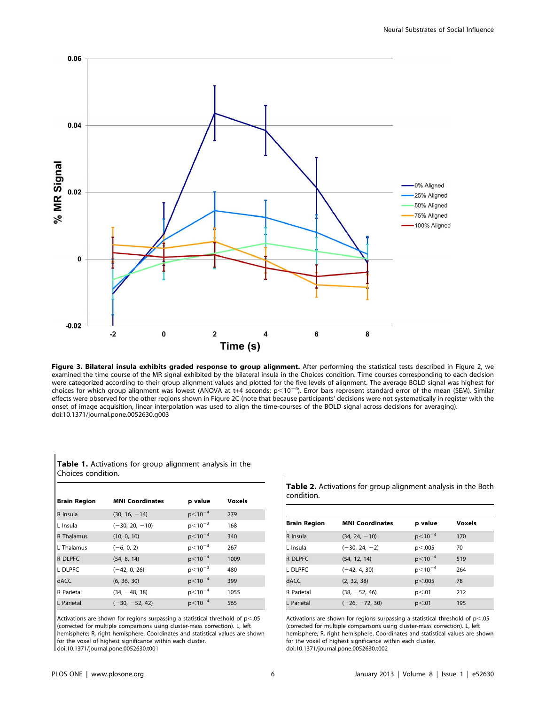

Figure 3. Bilateral insula exhibits graded response to group alignment. After performing the statistical tests described in Figure 2, we examined the time course of the MR signal exhibited by the bilateral insula in the Choices condition. Time courses corresponding to each decision were categorized according to their group alignment values and plotted for the five levels of alignment. The average BOLD signal was highest for choices for which group alignment was lowest (ANOVA at t+4 seconds: p<10<sup>-4</sup>). Error bars represent standard error of the mean (SEM). Similar effects were observed for the other regions shown in Figure 2C (note that because participants' decisions were not systematically in register with the onset of image acquisition, linear interpolation was used to align the time-courses of the BOLD signal across decisions for averaging). doi:10.1371/journal.pone.0052630.g003

| <b>Brain Region</b> | <b>MNI Coordinates</b> | p value     | <b>Voxels</b> |
|---------------------|------------------------|-------------|---------------|
| R Insula            | $(30, 16, -14)$        | $p<10^{-4}$ | 279           |
| L Insula            | $(-30, 20, -10)$       | $p<10^{-3}$ | 168           |
| <b>R</b> Thalamus   | (10, 0, 10)            | $p<10^{-4}$ | 340           |
| L Thalamus          | $(-6, 0, 2)$           | $p<10^{-3}$ | 267           |
| R DLPFC             | (54, 8, 14)            | $p<10^{-4}$ | 1009          |
| L DLPFC             | $(-42, 0, 26)$         | $p<10^{-3}$ | 480           |
| <b>dACC</b>         | (6, 36, 30)            | $p<10^{-4}$ | 399           |
| R Parietal          | $(34, -48, 38)$        | $p<10^{-4}$ | 1055          |
| L Parietal          | $(-30, -52, 42)$       | $p<10^{-4}$ | 565           |

Table 1. Activations for group alignment analysis in the Choices condition.

Activations are shown for regions surpassing a statistical threshold of  $p<.05$ (corrected for multiple comparisons using cluster-mass correction). L, left hemisphere; R, right hemisphere. Coordinates and statistical values are shown for the voxel of highest significance within each cluster.

doi:10.1371/journal.pone.0052630.t001

Table 2. Activations for group alignment analysis in the Both condition.

| <b>Brain Region</b> | <b>MNI Coordinates</b> | p value               | Voxels |
|---------------------|------------------------|-----------------------|--------|
| R Insula            | $(34, 24, -10)$        | $p<$ 10 <sup>-4</sup> | 170    |
| L Insula            | $(-30, 24, -2)$        | p<.005                | 70     |
| R DLPFC             | (54, 12, 14)           | $p<10^{-4}$           | 519    |
| L DLPFC             | $(-42, 4, 30)$         | $p<10^{-4}$           | 264    |
| <b>dACC</b>         | (2, 32, 38)            | p<.005                | 78     |
| R Parietal          | $(38, -52, 46)$        | p<.01                 | 212    |
| L Parietal          | $(-26, -72, 30)$       | p<.01                 | 195    |

Activations are shown for regions surpassing a statistical threshold of  $p<.05$ (corrected for multiple comparisons using cluster-mass correction). L, left hemisphere; R, right hemisphere. Coordinates and statistical values are shown for the voxel of highest significance within each cluster. doi:10.1371/journal.pone.0052630.t002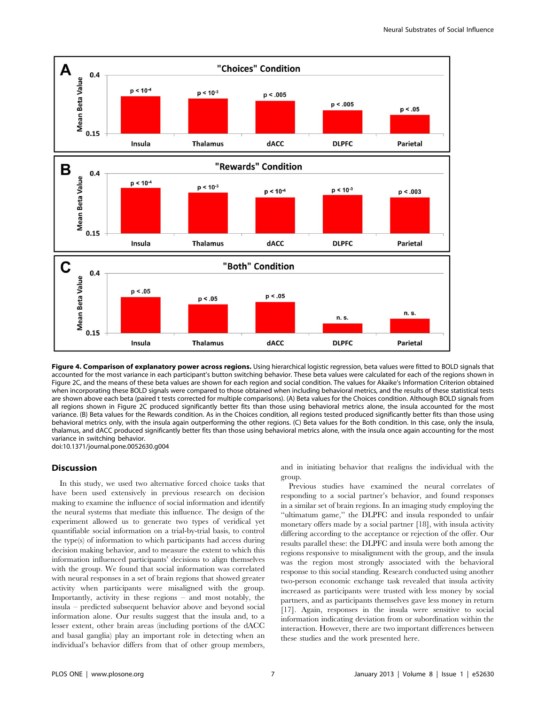

Figure 4. Comparison of explanatory power across regions. Using hierarchical logistic regression, beta values were fitted to BOLD signals that accounted for the most variance in each participant's button switching behavior. These beta values were calculated for each of the regions shown in Figure 2C, and the means of these beta values are shown for each region and social condition. The values for Akaike's Information Criterion obtained when incorporating these BOLD signals were compared to those obtained when including behavioral metrics, and the results of these statistical tests are shown above each beta (paired t tests corrected for multiple comparisons). (A) Beta values for the Choices condition. Although BOLD signals from all regions shown in Figure 2C produced significantly better fits than those using behavioral metrics alone, the insula accounted for the most variance. (B) Beta values for the Rewards condition. As in the Choices condition, all regions tested produced significantly better fits than those using behavioral metrics only, with the insula again outperforming the other regions. (C) Beta values for the Both condition. In this case, only the insula, thalamus, and dACC produced significantly better fits than those using behavioral metrics alone, with the insula once again accounting for the most variance in switching behavior. doi:10.1371/journal.pone.0052630.g004

## **Discussion**

In this study, we used two alternative forced choice tasks that have been used extensively in previous research on decision making to examine the influence of social information and identify the neural systems that mediate this influence. The design of the experiment allowed us to generate two types of veridical yet quantifiable social information on a trial-by-trial basis, to control the type(s) of information to which participants had access during decision making behavior, and to measure the extent to which this information influenced participants' decisions to align themselves with the group. We found that social information was correlated with neural responses in a set of brain regions that showed greater activity when participants were misaligned with the group. Importantly, activity in these regions – and most notably, the insula – predicted subsequent behavior above and beyond social information alone. Our results suggest that the insula and, to a lesser extent, other brain areas (including portions of the dACC and basal ganglia) play an important role in detecting when an individual's behavior differs from that of other group members,

and in initiating behavior that realigns the individual with the group.

Previous studies have examined the neural correlates of responding to a social partner's behavior, and found responses in a similar set of brain regions. In an imaging study employing the ''ultimatum game,'' the DLPFC and insula responded to unfair monetary offers made by a social partner [18], with insula activity differing according to the acceptance or rejection of the offer. Our results parallel these: the DLPFC and insula were both among the regions responsive to misalignment with the group, and the insula was the region most strongly associated with the behavioral response to this social standing. Research conducted using another two-person economic exchange task revealed that insula activity increased as participants were trusted with less money by social partners, and as participants themselves gave less money in return [17]. Again, responses in the insula were sensitive to social information indicating deviation from or subordination within the interaction. However, there are two important differences between these studies and the work presented here.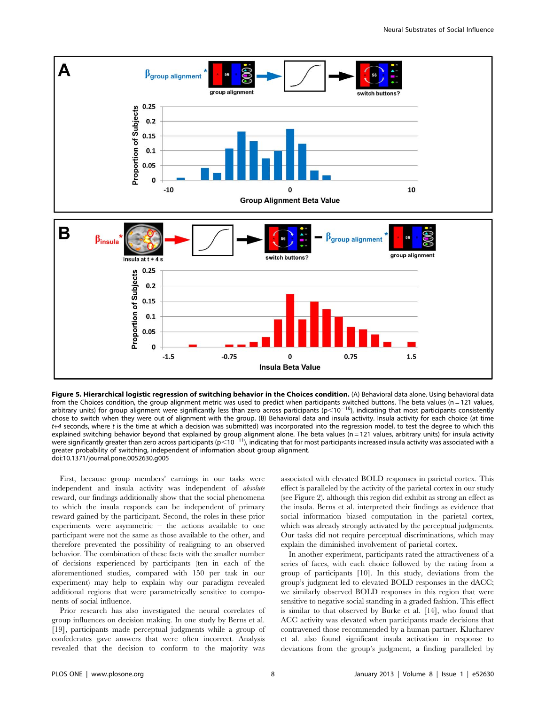

Figure 5. Hierarchical logistic regression of switching behavior in the Choices condition. (A) Behavioral data alone. Using behavioral data from the Choices condition, the group alignment metric was used to predict when participants switched buttons. The beta values (n=121 values,<br>arbitrary units) for group alignment were significantly less than zero across pa chose to switch when they were out of alignment with the group. (B) Behavioral data and insula activity. Insula activity for each choice (at time t+4 seconds, where t is the time at which a decision was submitted) was incorporated into the regression model, to test the degree to which this explained switching behavior beyond that explained by group alignment alone. The beta values (n = 121 values, arbitrary units) for insula activity were significantly greater than zero across participants ( $p<10^{-11}$ ), indicating that for most participants increased insula activity was associated with a greater probability of switching, independent of information about group alignment. doi:10.1371/journal.pone.0052630.g005

First, because group members' earnings in our tasks were independent and insula activity was independent of absolute reward, our findings additionally show that the social phenomena to which the insula responds can be independent of primary reward gained by the participant. Second, the roles in these prior experiments were asymmetric – the actions available to one participant were not the same as those available to the other, and therefore prevented the possibility of realigning to an observed behavior. The combination of these facts with the smaller number of decisions experienced by participants (ten in each of the aforementioned studies, compared with 150 per task in our experiment) may help to explain why our paradigm revealed additional regions that were parametrically sensitive to components of social influence.

Prior research has also investigated the neural correlates of group influences on decision making. In one study by Berns et al. [19], participants made perceptual judgments while a group of confederates gave answers that were often incorrect. Analysis revealed that the decision to conform to the majority was

associated with elevated BOLD responses in parietal cortex. This effect is paralleled by the activity of the parietal cortex in our study (see Figure 2), although this region did exhibit as strong an effect as the insula. Berns et al. interpreted their findings as evidence that social information biased computation in the parietal cortex, which was already strongly activated by the perceptual judgments. Our tasks did not require perceptual discriminations, which may explain the diminished involvement of parietal cortex.

In another experiment, participants rated the attractiveness of a series of faces, with each choice followed by the rating from a group of participants [10]. In this study, deviations from the group's judgment led to elevated BOLD responses in the dACC; we similarly observed BOLD responses in this region that were sensitive to negative social standing in a graded fashion. This effect is similar to that observed by Burke et al. [14], who found that ACC activity was elevated when participants made decisions that contravened those recommended by a human partner. Klucharev et al. also found significant insula activation in response to deviations from the group's judgment, a finding paralleled by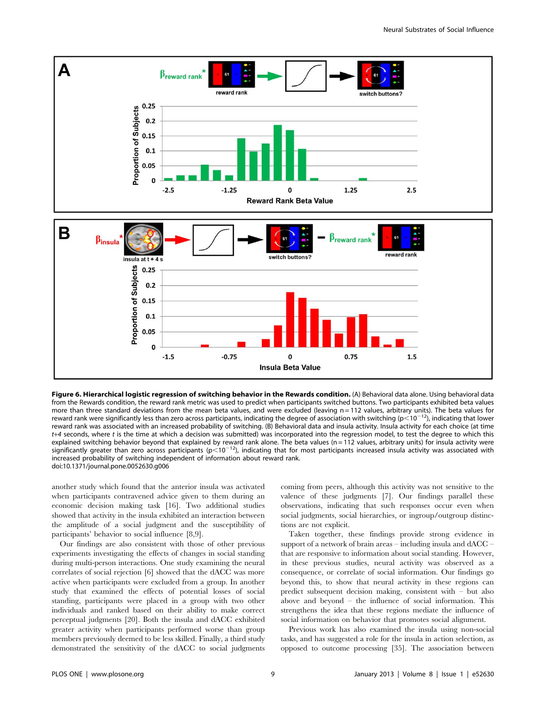

Figure 6. Hierarchical logistic regression of switching behavior in the Rewards condition. (A) Behavioral data alone. Using behavioral data from the Rewards condition, the reward rank metric was used to predict when participants switched buttons. Two participants exhibited beta values more than three standard deviations from the mean beta values, and were excluded (leaving n = 112 values, arbitrary units). The beta values for reward rank were significantly less than zero across participants, indicating the degree of association with switching ( $p<10^{-12}$ ), indicating that lower reward rank was associated with an increased probability of switching. (B) Behavioral data and insula activity. Insula activity for each choice (at time t+4 seconds, where t is the time at which a decision was submitted) was incorporated into the regression model, to test the degree to which this explained switching behavior beyond that explained by reward rank alone. The beta values (n=112 values, arbitrary units) for insula activity were<br>significantly greater than zero across participants (p<10<sup>-12</sup>), indicating increased probability of switching independent of information about reward rank. doi:10.1371/journal.pone.0052630.g006

another study which found that the anterior insula was activated when participants contravened advice given to them during an economic decision making task [16]. Two additional studies showed that activity in the insula exhibited an interaction between the amplitude of a social judgment and the susceptibility of participants' behavior to social influence [8,9].

Our findings are also consistent with those of other previous experiments investigating the effects of changes in social standing during multi-person interactions. One study examining the neural correlates of social rejection [6] showed that the dACC was more active when participants were excluded from a group. In another study that examined the effects of potential losses of social standing, participants were placed in a group with two other individuals and ranked based on their ability to make correct perceptual judgments [20]. Both the insula and dACC exhibited greater activity when participants performed worse than group members previously deemed to be less skilled. Finally, a third study demonstrated the sensitivity of the dACC to social judgments coming from peers, although this activity was not sensitive to the valence of these judgments [7]. Our findings parallel these observations, indicating that such responses occur even when social judgments, social hierarchies, or ingroup/outgroup distinctions are not explicit.

Taken together, these findings provide strong evidence in support of a network of brain areas – including insula and dACC – that are responsive to information about social standing. However, in these previous studies, neural activity was observed as a consequence, or correlate of social information. Our findings go beyond this, to show that neural activity in these regions can predict subsequent decision making, consistent with – but also above and beyond – the influence of social information. This strengthens the idea that these regions mediate the influence of social information on behavior that promotes social alignment.

Previous work has also examined the insula using non-social tasks, and has suggested a role for the insula in action selection, as opposed to outcome processing [35]. The association between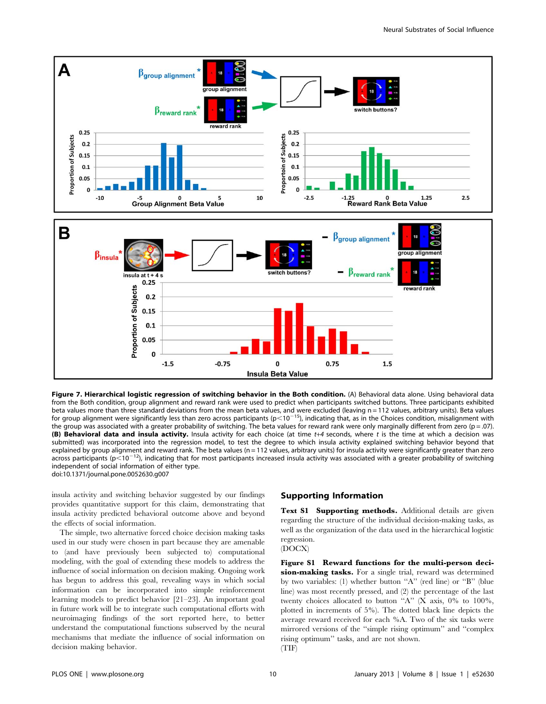

Figure 7. Hierarchical logistic regression of switching behavior in the Both condition. (A) Behavioral data alone. Using behavioral data from the Both condition, group alignment and reward rank were used to predict when participants switched buttons. Three participants exhibited beta values more than three standard deviations from the mean beta values, and were excluded (leaving n = 112 values, arbitrary units). Beta values for group alignment were significantly less than zero across participants ( $p$ <10<sup>-15</sup>), indicating that, as in the Choices condition, misalignment with the group was associated with a greater probability of switching. The beta values for reward rank were only marginally different from zero (p = .07). (B) Behavioral data and insula activity. Insula activity for each choice (at time t+4 seconds, where t is the time at which a decision was submitted) was incorporated into the regression model, to test the degree to which insula activity explained switching behavior beyond that explained by group alignment and reward rank. The beta values (n = 112 values, arbitrary units) for insula activity were significantly greater than zero across participants ( $p$ <10<sup>-12</sup>), indicating that for most participants increased insula activity was associated with a greater probability of switching independent of social information of either type. doi:10.1371/journal.pone.0052630.g007

insula activity and switching behavior suggested by our findings provides quantitative support for this claim, demonstrating that insula activity predicted behavioral outcome above and beyond the effects of social information.

The simple, two alternative forced choice decision making tasks used in our study were chosen in part because they are amenable to (and have previously been subjected to) computational modeling, with the goal of extending these models to address the influence of social information on decision making. Ongoing work has begun to address this goal, revealing ways in which social information can be incorporated into simple reinforcement learning models to predict behavior [21–23]. An important goal in future work will be to integrate such computational efforts with neuroimaging findings of the sort reported here, to better understand the computational functions subserved by the neural mechanisms that mediate the influence of social information on decision making behavior.

## Supporting Information

Text S1 Supporting methods. Additional details are given regarding the structure of the individual decision-making tasks, as well as the organization of the data used in the hierarchical logistic regression. (DOCX)

Figure S1 Reward functions for the multi-person decision-making tasks. For a single trial, reward was determined by two variables: (1) whether button ''A'' (red line) or ''B'' (blue line) was most recently pressed, and (2) the percentage of the last twenty choices allocated to button ''A'' (X axis, 0% to 100%, plotted in increments of 5%). The dotted black line depicts the average reward received for each %A. Two of the six tasks were mirrored versions of the ''simple rising optimum'' and ''complex rising optimum'' tasks, and are not shown.

(TIF)